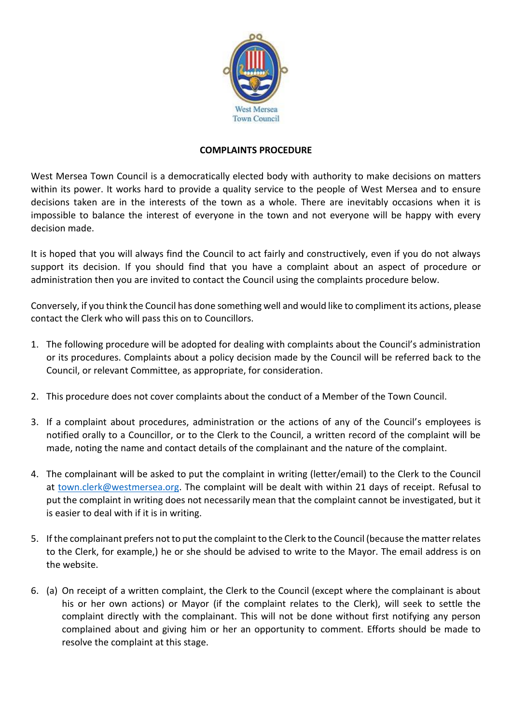

## **COMPLAINTS PROCEDURE**

West Mersea Town Council is a democratically elected body with authority to make decisions on matters within its power. It works hard to provide a quality service to the people of West Mersea and to ensure decisions taken are in the interests of the town as a whole. There are inevitably occasions when it is impossible to balance the interest of everyone in the town and not everyone will be happy with every decision made.

It is hoped that you will always find the Council to act fairly and constructively, even if you do not always support its decision. If you should find that you have a complaint about an aspect of procedure or administration then you are invited to contact the Council using the complaints procedure below.

Conversely, if you think the Council has done something well and would like to compliment its actions, please contact the Clerk who will pass this on to Councillors.

- 1. The following procedure will be adopted for dealing with complaints about the Council's administration or its procedures. Complaints about a policy decision made by the Council will be referred back to the Council, or relevant Committee, as appropriate, for consideration.
- 2. This procedure does not cover complaints about the conduct of a Member of the Town Council.
- 3. If a complaint about procedures, administration or the actions of any of the Council's employees is notified orally to a Councillor, or to the Clerk to the Council, a written record of the complaint will be made, noting the name and contact details of the complainant and the nature of the complaint.
- 4. The complainant will be asked to put the complaint in writing (letter/email) to the Clerk to the Council at [town.clerk@westmersea.org.](mailto:town.clerk@westmersea.org) The complaint will be dealt with within 21 days of receipt. Refusal to put the complaint in writing does not necessarily mean that the complaint cannot be investigated, but it is easier to deal with if it is in writing.
- 5. If the complainant prefers not to put the complaint to the Clerk to the Council (because the matter relates to the Clerk, for example,) he or she should be advised to write to the Mayor. The email address is on the website.
- 6. (a) On receipt of a written complaint, the Clerk to the Council (except where the complainant is about his or her own actions) or Mayor (if the complaint relates to the Clerk), will seek to settle the complaint directly with the complainant. This will not be done without first notifying any person complained about and giving him or her an opportunity to comment. Efforts should be made to resolve the complaint at this stage.